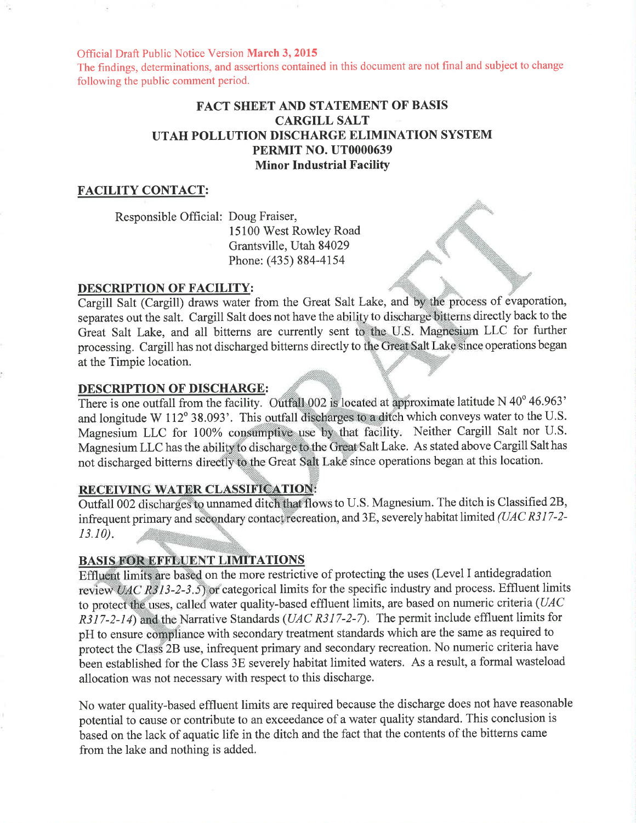Official Draft Public Notice Version March 3,2015

The findings, determinations, and assertions contained in this document are not final and subject to change following the public comment period.

# FACT SHEET AND STATEMENT OF BASIS CARGILL SALT UTAH POLLUTION DISCHARGE ELIMINATION SYSTEM PERMIT NO. UT0000639 Minor Industrial Facility

#### FACILITY CONTACT:

Responsible Official: Doug Fraiser,

15100 West Rowley Road Grantsville, Utah 84029 Phone: (435) 884-4154

#### DESCRIPTION OF FACILITY:

Cargill Salt (Cargill) draws water from the Great Salt Lake, and by the process of evaporation, separates out the salt. Cargill Salt does not have the ability to discharge bitterns directly back to the Great Salt Lake, and all bitterns are currently sent to the U.S. Magnesium LLC for further processing. Cargill has not discharged bitterns directly to the Great Salt Lake since operations began at the Timpie location.

#### DESCRIPTION OF DISCHARGE:

There is one outfall from the facility. Outfall 002 is located at approximate latitude N 40 $^{\circ}$  46.963' and longitude W 112° 38.093'. This outfall discharges to a ditch which conveys water to the U.S. Magnesium LLC for 100% consumptive use by that facility. Neither Cargill Salt nor U.S. Magnesium LLC has the ability to discharge to the Great Salt Lake. As stated above Cargill Salt has not discharged bitterns directly to the Great Salt Lake since operations began at this location

#### RECEIVING WATER CLASSIFICATION:

Outfall 002 discharges to unnamed ditch that flows to U.S. Magnesium. The ditch is Classified 2B, infrequent primary and secondary contact recreation, and 3E, severely habitat limited (UAC R317-2- $13.10$ ).

### BASIS FOR EFFLUENT LIMITATIONS

 $3-2-3.5$  or categorical limits for the specific industry and process. Effluent limits to protect the uses, called water quality-based effluent limits, are based on numeric criteria ( $UAC$ Effluent limits are based on the more restrictive of protecting the uses (Level I antidegradation  $R317-2-14$ ) and the Narrative Standards (UAC R317-2-7). The permit include effluent limits for pH to ensure compliance with secondary treatment standards which are the same as required to protect the Class 2B use, infrequent primary and secondary recreation. No numeric criteria have been established for the Class 3E severely habitat limited waters. As a result, a formal wasteload allocation was not necessary with respect to this discharge.

No water quality-based effluent limits are required because the discharge does not have reasonable potential to cause or contribute to an exceedance of a water quality standard. This conclusion is based on the lack of aquatic life in the ditch and the fact that the contents of the bitterns came from the lake and nothing is added.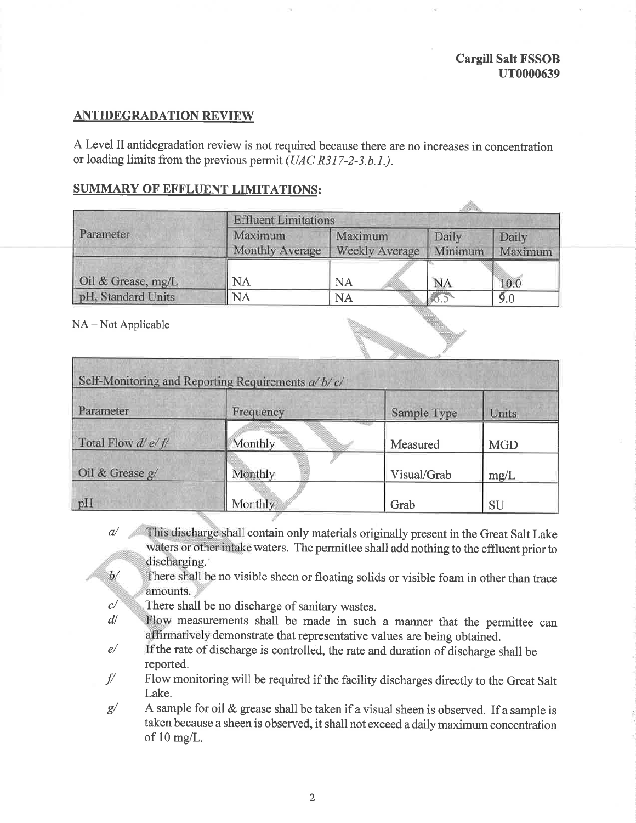ille.

# **ANTIDEGRADATION REVIEW**

A Level II antidegradation review is not required because there are no increases in concentration or loading limits from the previous permit (UAC R317-2-3.b.1.).

# SUMMARY OF EFFLUENT LIMITATIONS:

|                    | <b>Effluent Limitations</b>       |                                  |                  |                  |  |
|--------------------|-----------------------------------|----------------------------------|------------------|------------------|--|
| Parameter          | Maximum<br><b>Monthly Average</b> | Maximum<br><b>Weekly Average</b> | Daily<br>Minimum | Daily<br>Maximum |  |
| Oil & Grease, mg/L | NA                                | NA                               | <b>NA</b>        | 10.0             |  |
| pH, Standard Units | <b>NA</b>                         | <b>NA</b>                        |                  | 9.0              |  |

NA – Not Applicable

| Self-Monitoring and Reporting Requirements a/b/c/ |           |             |            |  |  |
|---------------------------------------------------|-----------|-------------|------------|--|--|
| Parameter                                         | Frequency | Sample Type | Units      |  |  |
| Total Flow $d'e/f'$                               | Monthly   | Measured    | <b>MGD</b> |  |  |
| Oil & Grease $g/$                                 | Monthly   | Visual/Grab | mg/L       |  |  |
| pH                                                | Monthly   | Grab        | SU         |  |  |

- This discharge shall contain only materials originally present in the Great Salt Lake  $a$ waters or other intake waters. The permittee shall add nothing to the effluent prior to discharging.
- There shall be no visible sheen or floating solids or visible foam in other than trace  $b/$ amounts.
- c/ There shall be no discharge of sanitary wastes.
- $d\ell$ Flow measurements shall be made in such a manner that the permittee can affirmatively demonstrate that representative values are being obtained.
- e/ If the rate of discharge is controlled, the rate and duration of discharge shall be reported.
- f/ Flow monitoring will be required if the facility discharges directly to the Great Salt Lake.
- g/ A sample for oil & grease shall be taken if a visual sheen is observed. If a sample is taken because a sheen is observed, it shall not exceed a daily maximum concentration of 10 mg/L.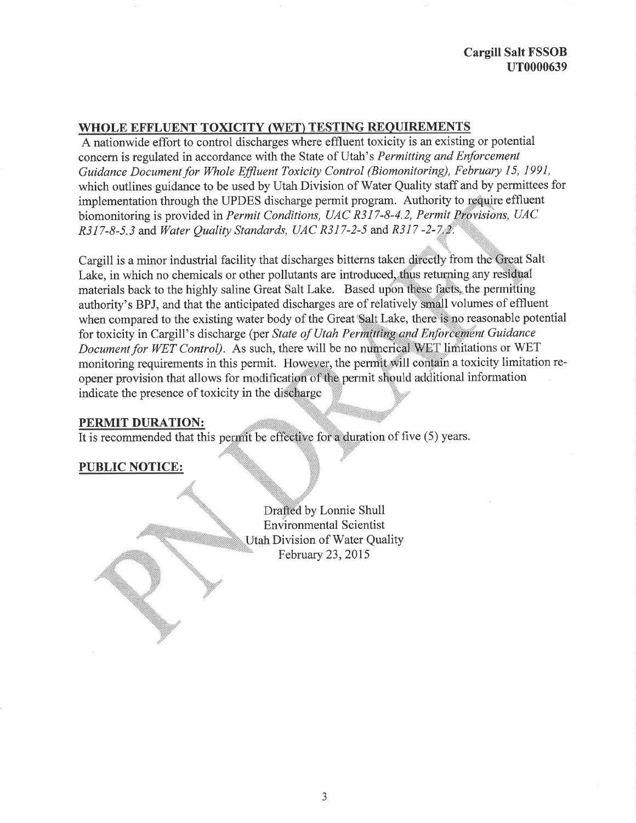## Cargill Salt FSSOB uT0000639

## WHOLE EFFLUENT TOXICITY (WET) TESTING REQUIREMENTS

A nationwide effort to control discharges where effluent toxicity is an existing or potential concern is regulated in accordance with the State of Utah's Permitting and Enforcement Guidance Document for Whole Effluent Toxicity Control (Biomonitoring), February 15, 1991, which outlines guidance to be used by Utah Division of Water Quality staff and by permittees for implementation through the UPDES discharge permit program. Authority to require effluent biomonitoring is provided in Permit Conditions, UAC R317-8-4.2, Permit Provisions, UAC  $R317-8-5.3$  and Water Ouality Standards, UAC R317-2-5 and R317-2-7.2.

Cargill is a minor industrial facility that discharges bitterns taken directly from the Great Salt Lake, in which no chemicals or other pollutants are introduced, thus returning any residual materials back to the highly saline Great Salt Lake. Based upon these facts, the permitting authority's BPJ, and that the anticipated discharges are of relatively small volumes of effluent when compared to the existing water body of the Great Salt Lake, there is no reasonable potential for toxicity in Cargill's discharge (per State of Utah Permitting and Enforcement Guidance Document for WET Control). As such, there will be no numerical WET limitations or WET monitoring requirements in this permit. However, the permit will contain a toxicity limitation reopener provision that allows for modification of the permit should additional information indicate the presence of toxicity in the discharge

## PERMIT DURATION:

It is recommended that this permit be effective for a duration of five (5) years.

# PUBLIC NOTICE:

by Lonnie Shull Environmental Scientist Division of Water Quality February 23,2015